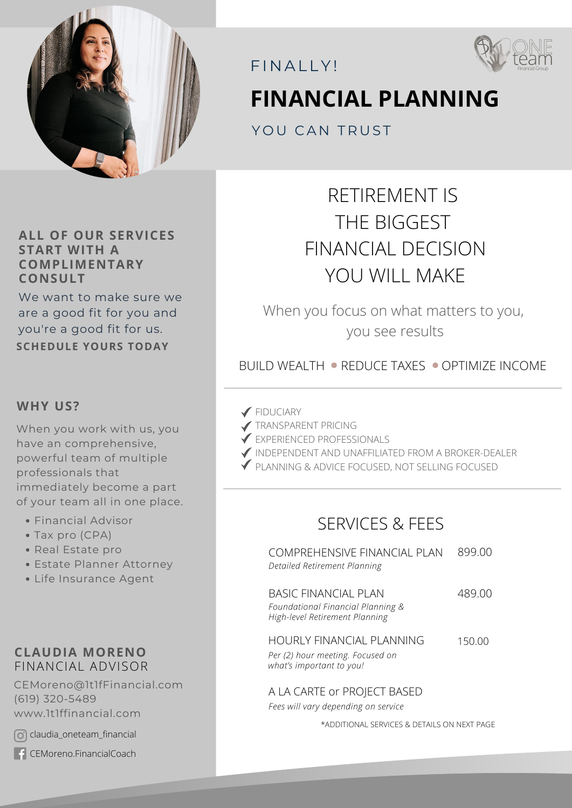

### FINALIY!



# **FINANCIAL PLANNING**

YOU CAN TRUST

## RETIREMENT IS THE BIGGEST FINANCIAL DECISION YOU WILL MAKE

When you focus on what matters to you, you see results

BUILD WEALTH • REDUCE TAXES • OPTIMIZE INCOME

- FIDUCIARY
- **√ TRANSPARENT PRICING**
- EXPERIENCED PROFESSIONALS
- INDEPENDENT AND UNAFFILIATED FROM A BROKER-DEALER
- PLANNING & ADVICE FOCUSED, NOT SELLING FOCUSED

### SERVICES & FEES

| <b>COMPREHENSIVE FINANCIAL PLAN</b><br>Detailed Retirement Planning                                | 899.00 |
|----------------------------------------------------------------------------------------------------|--------|
| <b>BASIC FINANCIAL PLAN</b><br>Foundational Financial Planning &<br>High-level Retirement Planning | 489.00 |
| HOURLY FINANCIAL PLANNING<br>Per (2) hour meeting. Focused on<br>what's important to you!          | 150.00 |
| A LA CARTE or PROJECT BASED                                                                        |        |

*Fees will vary depending on service*

\*ADDITIONAL SERVICES & DETAILS ON NEXT PAGE

#### **ALL OF OUR SERVICES START WITH A COMPLIMENTARY CONSULT**

We want to make sure we are a good fit for you and you're a good fit for us. **SCHEDULE YOURS TODAY**

### **WHY US?**

When you work with us, you have an comprehensive, powerful team of multiple professionals that immediately become a part of your team all in one place.

- Financial Advisor
- Tax pro (CPA)
- Real Estate pro
- Estate Planner Attorney
- Life Insurance Agent

### **CLAUDIA MORENO** FINANCIAL ADVISOR

CEMoreno@1t1fFinancial.com (619) 320-5489 www.1t1ffinancial.com

c] claudia\_oneteam\_financial

**CEMoreno.FinancialCoach**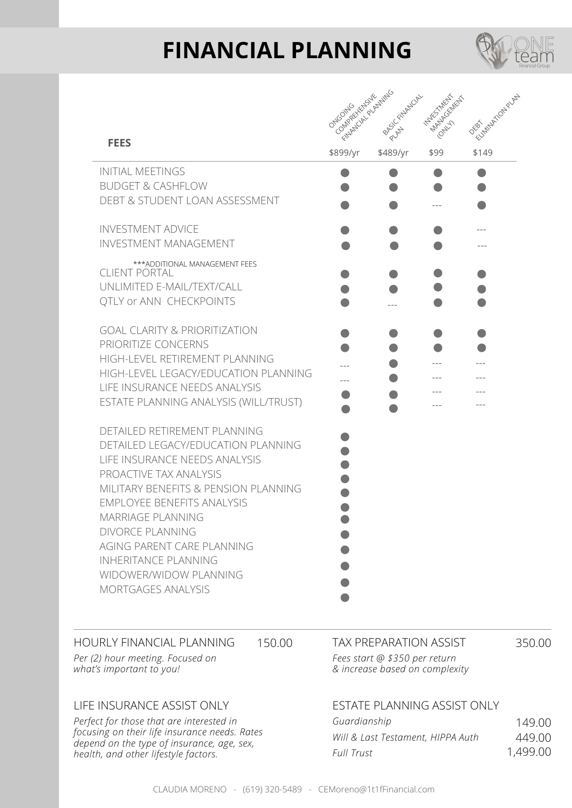# **FINANCIAL PLANNING**



|                                                                                                                                                                                                                                                                                                                                                                                       | Coupeexerstre<br>ONIGOING | First Children Party<br>BACCEMANCIAL<br>PLAT | <b>Trucks</b> Metal<br>MATURGEMENT<br>Contry | El March 2014 A.A.<br>DEED |
|---------------------------------------------------------------------------------------------------------------------------------------------------------------------------------------------------------------------------------------------------------------------------------------------------------------------------------------------------------------------------------------|---------------------------|----------------------------------------------|----------------------------------------------|----------------------------|
| <b>FEES</b>                                                                                                                                                                                                                                                                                                                                                                           | \$899/yr                  | \$489/yr                                     | \$99                                         | \$149                      |
| <b>INITIAL MEETINGS</b><br><b>BUDGET &amp; CASHFLOW</b><br>DEBT & STUDENT LOAN ASSESSMENT                                                                                                                                                                                                                                                                                             |                           |                                              |                                              |                            |
| <b>INVESTMENT ADVICE</b><br><b>INVESTMENT MANAGEMENT</b>                                                                                                                                                                                                                                                                                                                              |                           |                                              |                                              |                            |
| *** ADDITIONAL MANAGEMENT FEES<br><b>CLIENT PORTAL</b><br>UNLIMITED E-MAIL/TEXT/CALL<br>QTLY or ANN CHECKPOINTS                                                                                                                                                                                                                                                                       |                           |                                              |                                              |                            |
| <b>GOAL CLARITY &amp; PRIORITIZATION</b><br>PRIORITIZE CONCERNS<br>HIGH-LEVEL RETIREMENT PLANNING<br>HIGH-LEVEL LEGACY/EDUCATION PLANNING<br>LIFE INSURANCE NEEDS ANALYSIS<br>ESTATE PLANNING ANALYSIS (WILL/TRUST)                                                                                                                                                                   |                           |                                              |                                              |                            |
| DETAILED RETIREMENT PLANNING<br>DETAILED LEGACY/EDUCATION PLANNING<br>LIFE INSURANCE NEEDS ANALYSIS<br>PROACTIVE TAX ANALYSIS<br>MILITARY BENEFITS & PENSION PLANNING<br><b>EMPLOYEE BENEFITS ANALYSIS</b><br><b>MARRIAGE PLANNING</b><br><b>DIVORCE PLANNING</b><br>AGING PARENT CARE PLANNING<br><b>INHERITANCE PLANNING</b><br>WIDOWER/WIDOW PLANNING<br><b>MORTGAGES ANALYSIS</b> |                           |                                              |                                              |                            |

#### HOURLY FINANCIAL PLANNING

*Per (2) hour meeting. Focused on what's important to you!*

#### LIFE INSURANCE ASSIST ONLY

*Perfect for those that are interested in focusing on their life insurance needs. Rates depend on the type of insurance, age, sex, health, and other lifestyle factors.*

150.00 TAX PREPARATION ASSIST *Fees start @ \$350 per return & increase based on complexity* 350.00

#### ESTATE PLANNING ASSIST ONLY

| Guardianship                      | 149.00   |
|-----------------------------------|----------|
| Will & Last Testament, HIPPA Auth | 449.00   |
| Full Trust                        | 1,499.00 |